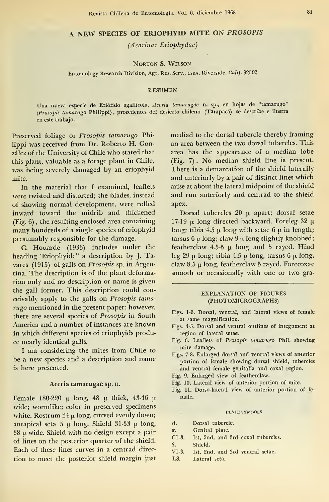# A NEW SPECIES OF ERIOPHYID MITE ON PROSOPIS

(Acarina: Eriophydae)

## Norton S. Wilson

Entomology Research Division, Agr. Res. Serv., uspa, Riverside, Calif. 92502

#### RESUMEN

Una nueva especie de Eriófido agallícola, Acería tamarugae n. sp., en hojas de "tamarugo" (Prosopis tamarugo Philippi) , procedentes del desierto chileno (Tarapacá) se describe e ilustra en este trabajo.

Preserved foliage of Prosopis tamarugo Philippi was received from Dr. Roberto H. González of the University of Chile who stated that this plant, valuable as a forage plant in Chile, was being severely damaged by an eriophyid mite.

In the material that I examined, leaflets were twisted and distorted; the blades, instead of showing normal development, were rolled inward toward the midrib and thickened (Fig. 6) , the resulting enclosed área containing many hundreds of a single species of eriophyid presumably responsible for the damage.

C. Houarde (1933) includes under the heading 'Eriophyide" <sup>a</sup> description by J. Tavares (1915) of galls on Prosopis sp. in Argentina. The description is of the plant deforma tion only and no description or name is given the gall former. This description could conceivably apply to the galls on Prosopis tama rugo mentioned in the present paper; however, there are several species of Prosopis in South America and a number of instances are known in which different species of eriophyids produce nearly identical galls.

<sup>I</sup> am considering the mites from Chile to be a new species and a description and name is here presented.

## Acería tamarugae sp. n.

Female 180-220  $\mu$  long, 48  $\mu$  thick, 43-46  $\mu$ wide; wormlike; color in preserved specimens white. Rostrum  $24 \mu$  long, curved evenly down; antapical seta 5  $\mu$  long. Shield 31-33  $\mu$  long,  $38 \mu$  wide. Shield with no design except a pair of lines on the posterior quarter of the shield. Each of these lines curves in a centrad direc tion to meet the posterior shield margin just mediad to the dorsal tubercle thereby framing an area between the two dorsal tubercles. This area has the appearance of a median lobe (Fig. 7) . No median shield line is present. There is a demarcation of the shield laterally and anteriorly by a pair of distinct lines which arise at about the lateral midpoint of the shield and run anteriorly and centrad to the shield apex.

Dorsal tubercles  $20 \mu$  apart; dorsal setae 17-19  $\mu$  long directed backward. Foreleg 32  $\mu$ long; tibia 4.5  $\mu$  long with setae 6  $\mu$  in length; tarsus 6  $\mu$  long; claw 9  $\mu$  long slightly knobbed; featherclaw 4.5-5  $\mu$  long and 5 rayed. Hind leg 29 µ long; tibia 4.5 µ long, tarsus 6 µ long, claw  $8.5 \mu$  long, featherclaw 5 rayed. Forecoxae smooth or occasionally with one or two gra-

#### EXPLANATION OF FIGURES (PHOTOMICROGRAPHS)

- Figs. 1-3. Dorsal, ventral, and lateral views of female at same magnification.
- Figs. 4-5. Dorsal and ventral outlines of integument at región of lateral setae.
- Fig. 6. Leaflets of Prosopis tamarugo Phil. showing mite damage.
- Figs. 7-8. Enlarged dorsal and ventral views of anterior portion of female showing dorsal shield, tubercles and ventral female genitalia and coxal region.
- Fig. 9. Enlarged view of featherclaw.
- Fig. 10. Lateral view of anterior portion of mite.
- Fig. 11. Dorso-lateral view of anterior portion of fe male.

#### PLATE SYMBOLS

- d. Dorsal tubercle.
- g. Genital plate.<br>C1-3. Ist, 2nd, and
- 1st, 2nd, and 3rd coxal tubercles.
- S. Shield.
- Vl-3. lst, Znd, and 3rd ventral setae.
- LS. Lateral seta.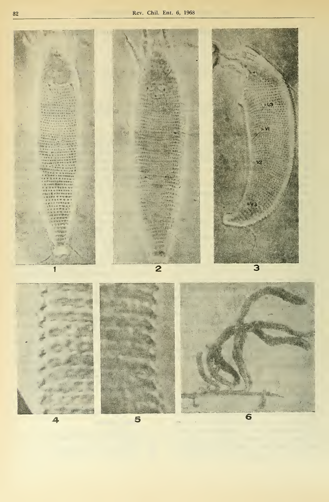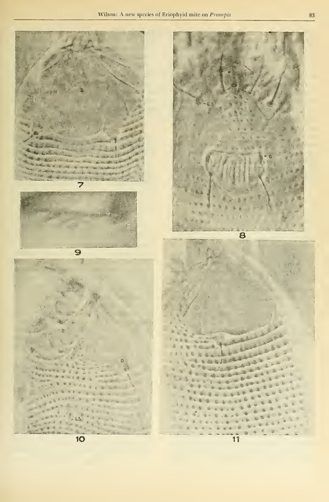